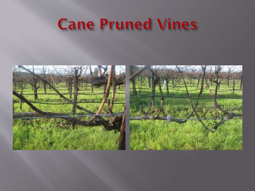### **Cane Pruned Vines**

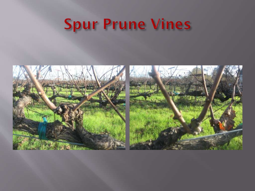## **Spur Prune Vines**



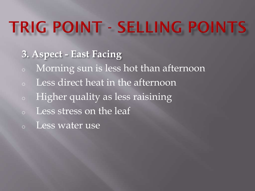- **3. Aspect - East Facing**
- <sup>o</sup> Morning sun is less hot than afternoon
- Less direct heat in the afternoon
- <sup>o</sup> Higher quality as less raisining
- <sup>o</sup> Less stress on the leaf
- <sup>o</sup> Less water use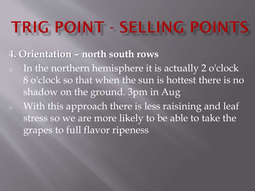#### **4. Orientation – north south rows**

- <sup>o</sup> In the northern hemisphere it is actually 2 o'clock 8 o'clock so that when the sun is hottest there is no shadow on the ground. 3pm in Aug <sup>o</sup> With this approach there is less raisining and leaf
	- stress so we are more likely to be able to take the grapes to full flavor ripeness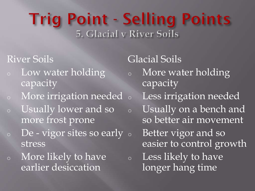### **Trig Point - Selling Points** 5. Glacial v River Soils

#### River Soils

- <sup>o</sup> Low water holding capacity
- <sup>o</sup> More irrigation needed
- <sup>o</sup> Usually lower and so more frost prone
- $\circ$  De vigor sites so early  $\circ$ stress
- <sup>o</sup> More likely to have earlier desiccation

Glacial Soils <sup>o</sup> More water holding capacity Less irrigation needed <sup>o</sup> Usually on a bench and so better air movement Better vigor and so easier to control growth <sup>o</sup> Less likely to have longer hang time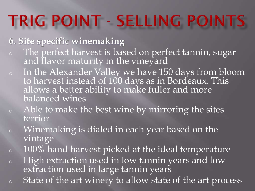#### **6. Site specific winemaking**

- <sup>o</sup> The perfect harvest is based on perfect tannin, sugar and flavor maturity in the vineyard
- <sup>o</sup> In the Alexander Valley we have 150 days from bloom to harvest instead of 100 days as in Bordeaux. This allows a better ability to make fuller and more balanced wines
- <sup>o</sup> Able to make the best wine by mirroring the sites terrior
- <sup>o</sup> Winemaking is dialed in each year based on the vintage
- <sup>o</sup> 100% hand harvest picked at the ideal temperature
- <sup>o</sup> High extraction used in low tannin years and low extraction used in large tannin years
- <sup>o</sup> State of the art winery to allow state of the art process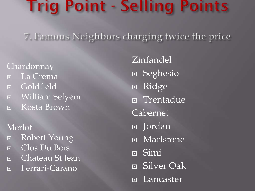### **Frig Point - Selling Points**

7. Famous Neighbors charging twice the price

Chardonnay La Crema Goldfield William Selyem Kosta Brown

#### Merlot

- Robert Young
- Clos Du Bois
- Chateau St Jean
- Ferrari-Carano

Zinfandel **E** Seghesio Ridge **E** Trentadue Cabernet Jordan Marlstone Simi Silver Oak **□** Lancaster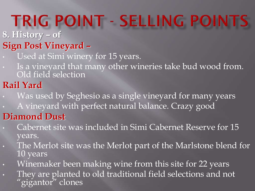**8. History – of** 

- **Sign Post Vineyard –**
- Used at Simi winery for 15 years.
- Is a vineyard that many other wineries take bud wood from. Old field selection

### **Rail Yard**

- Was used by Seghesio as a single vineyard for many years
- A vineyard with perfect natural balance. Crazy good

#### **Diamond Dust**

- Cabernet site was included in Simi Cabernet Reserve for 15 years.
- The Merlot site was the Merlot part of the Marlstone blend for 10 years
- Winemaker been making wine from this site for 22 years
- They are planted to old traditional field selections and not "gigantor" clones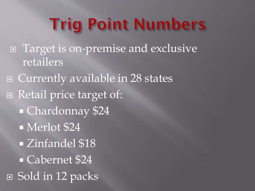## **Trig Point Numbers**

**E** Target is on-premise and exclusive retailers

□ Currently available in 28 states □ Retail price target of: Chardonnay \$24 Merlot \$24 **Example 18** Cabernet \$24 ■ Sold in 12 packs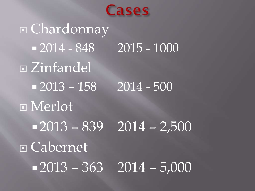

 Chardonnay  $-2014 - 848$  2015 - 1000 Zinfandel  $-2013 - 158$  2014 - 500 Merlot  $-2013 - 839$  2014 – 2,500 Cabernet  $-2013 - 363$  2014 – 5,000